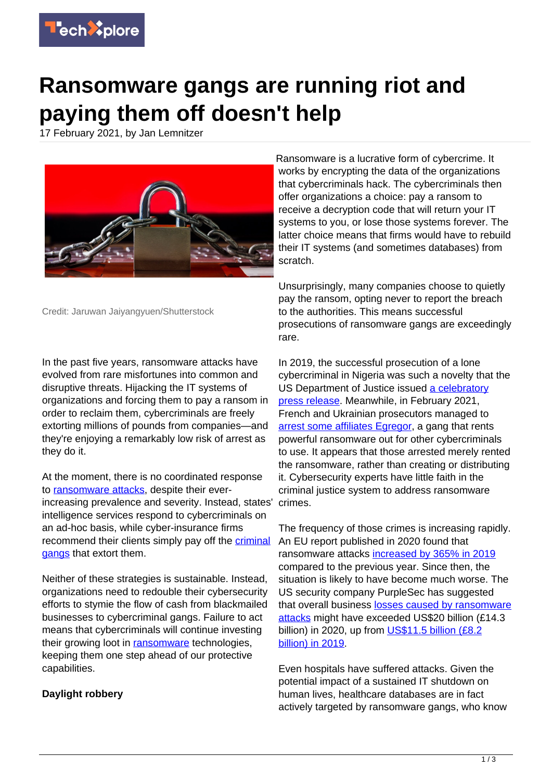

# **Ransomware gangs are running riot and paying them off doesn't help**

17 February 2021, by Jan Lemnitzer



Credit: Jaruwan Jaiyangyuen/Shutterstock

In the past five years, ransomware attacks have evolved from rare misfortunes into common and disruptive threats. Hijacking the IT systems of organizations and forcing them to pay a ransom in order to reclaim them, cybercriminals are freely extorting millions of pounds from companies—and they're enjoying a remarkably low risk of arrest as they do it.

At the moment, there is no coordinated response to [ransomware attacks](https://techxplore.com/tags/ransomware+attacks/), despite their everincreasing prevalence and severity. Instead, states' intelligence services respond to cybercriminals on an ad-hoc basis, while cyber-insurance firms recommend their clients simply pay off the [criminal](https://techxplore.com/tags/criminal+gangs/) [gangs](https://techxplore.com/tags/criminal+gangs/) that extort them.

Neither of these strategies is sustainable. Instead, organizations need to redouble their cybersecurity efforts to stymie the flow of cash from blackmailed businesses to cybercriminal gangs. Failure to act means that cybercriminals will continue investing their growing loot in [ransomware](https://techxplore.com/tags/ransomware/) technologies, keeping them one step ahead of our protective capabilities.

## **Daylight robbery**

Ransomware is a lucrative form of cybercrime. It works by encrypting the data of the organizations that cybercriminals hack. The cybercriminals then offer organizations a choice: pay a ransom to receive a decryption code that will return your IT systems to you, or lose those systems forever. The latter choice means that firms would have to rebuild their IT systems (and sometimes databases) from scratch.

Unsurprisingly, many companies choose to quietly pay the ransom, opting never to report the breach to the authorities. This means successful prosecutions of ransomware gangs are exceedingly rare.

In 2019, the successful prosecution of a lone cybercriminal in Nigeria was such a novelty that the US Department of Justice issued [a celebratory](https://www.justice.gov/opa/pr/nigerian-citizen-extradited-connection-prosecution-africa-based-cybercrime-and-business-email) [press release](https://www.justice.gov/opa/pr/nigerian-citizen-extradited-connection-prosecution-africa-based-cybercrime-and-business-email). Meanwhile, in February 2021, French and Ukrainian prosecutors managed to [arrest some affiliates Egregor](https://www.zdnet.com/article/egregor-ransomware-operators-arrested-in-ukraine/), a gang that rents powerful ransomware out for other cybercriminals to use. It appears that those arrested merely rented the ransomware, rather than creating or distributing it. Cybersecurity experts have little faith in the criminal justice system to address ransomware crimes.

The frequency of those crimes is increasing rapidly. An EU report published in 2020 found that ransomware attacks [increased by 365% in 2019](https://www.enisa.europa.eu/publications/ransomware) compared to the previous year. Since then, the situation is likely to have become much worse. The US security company PurpleSec has suggested that overall business [losses caused by ransomware](https://purplesec.us/resources/cyber-security-statistics/ransomware/) [attacks](https://purplesec.us/resources/cyber-security-statistics/ransomware/) might have exceeded US\$20 billion (£14.3 billion) in 2020, up from [US\\$11.5 billion \(£8.2](https://info.deepinstinct.com/tof/cyber-threat-landscape-report-2019-2020)) [billion\) in 2019](https://info.deepinstinct.com/tof/cyber-threat-landscape-report-2019-2020).

Even hospitals have suffered attacks. Given the potential impact of a sustained IT shutdown on human lives, healthcare databases are in fact actively targeted by ransomware gangs, who know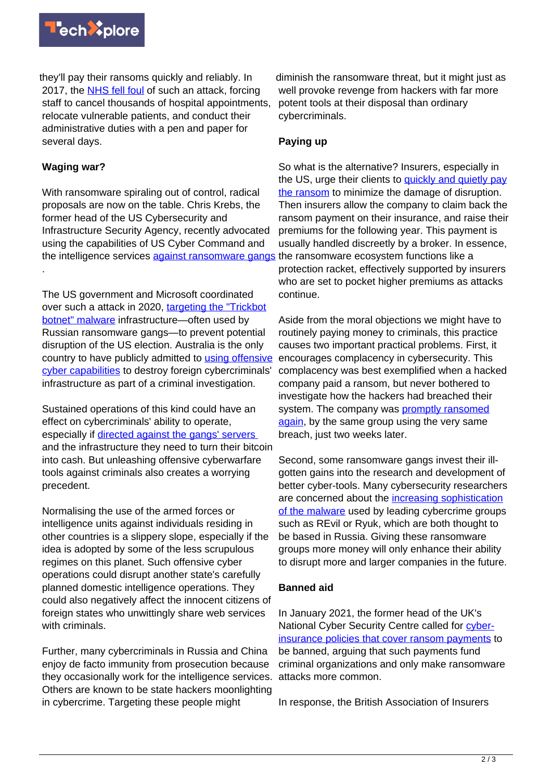

they'll pay their ransoms quickly and reliably. In 2017, the [NHS fell foul](https://www.bbc.co.uk/news/health-39899646) of such an attack, forcing staff to cancel thousands of hospital appointments, relocate vulnerable patients, and conduct their administrative duties with a pen and paper for several days.

### **Waging war?**

.

With ransomware spiraling out of control, radical proposals are now on the table. Chris Krebs, the former head of the US Cybersecurity and Infrastructure Security Agency, recently advocated using the capabilities of US Cyber Command and the intelligence services [against ransomware gangs](https://www.ft.com/content/27c09769-ceb5-46dd-824f-40b684d681ae) the ransomware ecosystem functions like a

The US government and Microsoft coordinated over such a attack in 2020, [targeting the "Trickbot](https://news.microsoft.com/apac/2020/10/13/microsoft-takes-action-to-disrupt-botnet-and-combat-ransomware/) [botnet" malware](https://news.microsoft.com/apac/2020/10/13/microsoft-takes-action-to-disrupt-botnet-and-combat-ransomware/) infrastructure—often used by Russian ransomware gangs—to prevent potential disruption of the US election. Australia is the only country to have publicly admitted to [using offensive](https://www.realcleardefense.com/articles/2020/05/09/defending_forward_against_cybercriminals_abroad_115265.html) [cyber capabilities](https://www.realcleardefense.com/articles/2020/05/09/defending_forward_against_cybercriminals_abroad_115265.html) to destroy foreign cybercriminals' infrastructure as part of a criminal investigation.

Sustained operations of this kind could have an effect on cybercriminals' ability to operate, especially if [directed against the gangs' servers](https://www.cyberscoop.com/ransomware-links-chainalysis-maze-egregor-doppelpaymer-suncrypt/)  and the infrastructure they need to turn their bitcoin into cash. But unleashing offensive cyberwarfare tools against criminals also creates a worrying precedent.

Normalising the use of the armed forces or intelligence units against individuals residing in other countries is a slippery slope, especially if the idea is adopted by some of the less scrupulous regimes on this planet. Such offensive cyber operations could disrupt another state's carefully planned domestic intelligence operations. They could also negatively affect the innocent citizens of foreign states who unwittingly share web services with criminals.

Further, many cybercriminals in Russia and China enjoy de facto immunity from prosecution because they occasionally work for the intelligence services. Others are known to be state hackers moonlighting in cybercrime. Targeting these people might

diminish the ransomware threat, but it might just as well provoke revenge from hackers with far more potent tools at their disposal than ordinary cybercriminals.

### **Paying up**

So what is the alternative? Insurers, especially in the US, urge their clients to [quickly and quietly pay](https://thehill.com/opinion/cybersecurity/477654-ransomware-time-for-the-government-to-act) [the ransom](https://thehill.com/opinion/cybersecurity/477654-ransomware-time-for-the-government-to-act) to minimize the damage of disruption. Then insurers allow the company to claim back the ransom payment on their insurance, and raise their premiums for the following year. This payment is usually handled discreetly by a broker. In essence, protection racket, effectively supported by insurers who are set to pocket higher premiums as attacks continue.

Aside from the moral objections we might have to routinely paying money to criminals, this practice causes two important practical problems. First, it encourages complacency in cybersecurity. This complacency was best exemplified when a hacked company paid a ransom, but never bothered to investigate how the hackers had breached their system. The company was [promptly ransomed](https://www.ncsc.gov.uk/blog-post/rise-of-ransomware) [again](https://www.ncsc.gov.uk/blog-post/rise-of-ransomware), by the same group using the very same breach, just two weeks later.

Second, some ransomware gangs invest their illgotten gains into the research and development of better cyber-tools. Many cybersecurity researchers are concerned about the [increasing sophistication](https://www.trendmicro.com/vinfo/us/security/news/cybercrime-and-digital-threats/the-state-of-ransomware-2020-s-catch-22) [of the malware](https://www.trendmicro.com/vinfo/us/security/news/cybercrime-and-digital-threats/the-state-of-ransomware-2020-s-catch-22) used by leading cybercrime groups such as REvil or Ryuk, which are both thought to be based in Russia. Giving these ransomware groups more money will only enhance their ability to disrupt more and larger companies in the future.

### **Banned aid**

In January 2021, the former head of the UK's National Cyber Security Centre called for [cyber](https://www.theguardian.com/technology/2021/jan/24/insurers-funding-organised-by-paying-ransomware-claims)[insurance policies that cover ransom payments](https://www.theguardian.com/technology/2021/jan/24/insurers-funding-organised-by-paying-ransomware-claims) to be banned, arguing that such payments fund criminal organizations and only make ransomware attacks more common.

In response, the British Association of Insurers